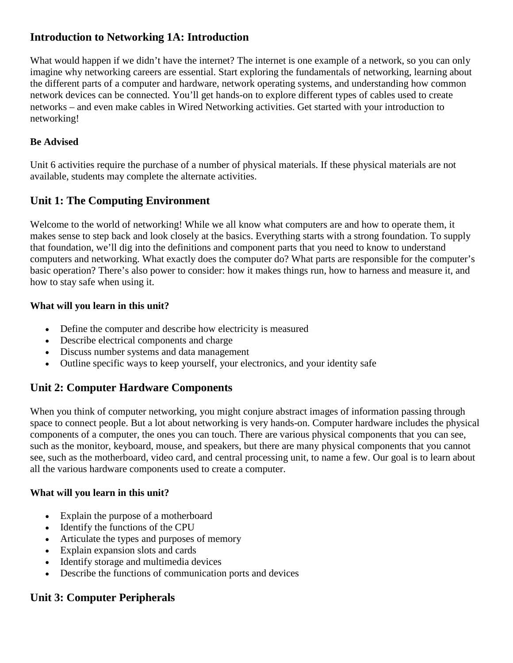## **Introduction to Networking 1A: Introduction**

What would happen if we didn't have the internet? The internet is one example of a network, so you can only imagine why networking careers are essential. Start exploring the fundamentals of networking, learning about the different parts of a computer and hardware, network operating systems, and understanding how common network devices can be connected. You'll get hands-on to explore different types of cables used to create networks – and even make cables in Wired Networking activities. Get started with your introduction to networking!

#### **Be Advised**

Unit 6 activities require the purchase of a number of physical materials. If these physical materials are not available, students may complete the alternate activities.

# **Unit 1: The Computing Environment**

Welcome to the world of networking! While we all know what computers are and how to operate them, it makes sense to step back and look closely at the basics. Everything starts with a strong foundation. To supply that foundation, we'll dig into the definitions and component parts that you need to know to understand computers and networking. What exactly does the computer do? What parts are responsible for the computer's basic operation? There's also power to consider: how it makes things run, how to harness and measure it, and how to stay safe when using it.

#### **What will you learn in this unit?**

- Define the computer and describe how electricity is measured
- Describe electrical components and charge
- Discuss number systems and data management
- Outline specific ways to keep yourself, your electronics, and your identity safe

### **Unit 2: Computer Hardware Components**

When you think of computer networking, you might conjure abstract images of information passing through space to connect people. But a lot about networking is very hands-on. Computer hardware includes the physical components of a computer, the ones you can touch. There are various physical components that you can see, such as the monitor, keyboard, mouse, and speakers, but there are many physical components that you cannot see, such as the motherboard, video card, and central processing unit, to name a few. Our goal is to learn about all the various hardware components used to create a computer.

#### **What will you learn in this unit?**

- Explain the purpose of a motherboard
- Identify the functions of the CPU
- Articulate the types and purposes of memory
- Explain expansion slots and cards
- Identify storage and multimedia devices
- Describe the functions of communication ports and devices

# **Unit 3: Computer Peripherals**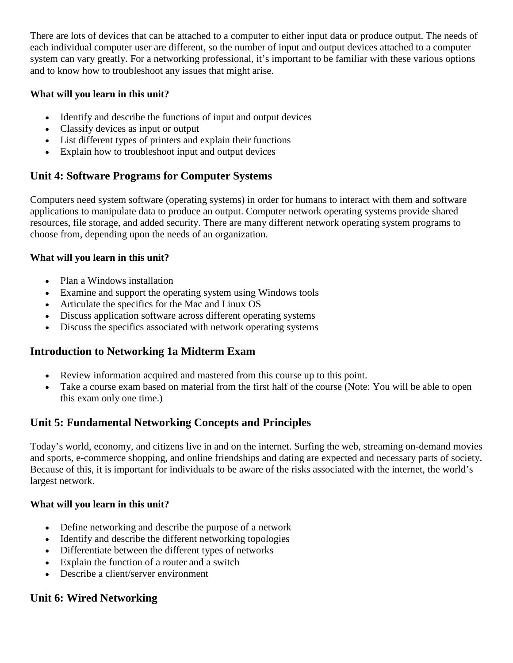There are lots of devices that can be attached to a computer to either input data or produce output. The needs of each individual computer user are different, so the number of input and output devices attached to a computer system can vary greatly. For a networking professional, it's important to be familiar with these various options and to know how to troubleshoot any issues that might arise.

#### **What will you learn in this unit?**

- Identify and describe the functions of input and output devices
- Classify devices as input or output
- List different types of printers and explain their functions
- Explain how to troubleshoot input and output devices

# **Unit 4: Software Programs for Computer Systems**

Computers need system software (operating systems) in order for humans to interact with them and software applications to manipulate data to produce an output. Computer network operating systems provide shared resources, file storage, and added security. There are many different network operating system programs to choose from, depending upon the needs of an organization.

#### **What will you learn in this unit?**

- Plan a Windows installation
- Examine and support the operating system using Windows tools
- Articulate the specifics for the Mac and Linux OS
- Discuss application software across different operating systems
- Discuss the specifics associated with network operating systems

# **Introduction to Networking 1a Midterm Exam**

- Review information acquired and mastered from this course up to this point.
- Take a course exam based on material from the first half of the course (Note: You will be able to open this exam only one time.)

# **Unit 5: Fundamental Networking Concepts and Principles**

Today's world, economy, and citizens live in and on the internet. Surfing the web, streaming on-demand movies and sports, e-commerce shopping, and online friendships and dating are expected and necessary parts of society. Because of this, it is important for individuals to be aware of the risks associated with the internet, the world's largest network.

### **What will you learn in this unit?**

- Define networking and describe the purpose of a network
- Identify and describe the different networking topologies
- Differentiate between the different types of networks
- Explain the function of a router and a switch
- Describe a client/server environment

# **Unit 6: Wired Networking**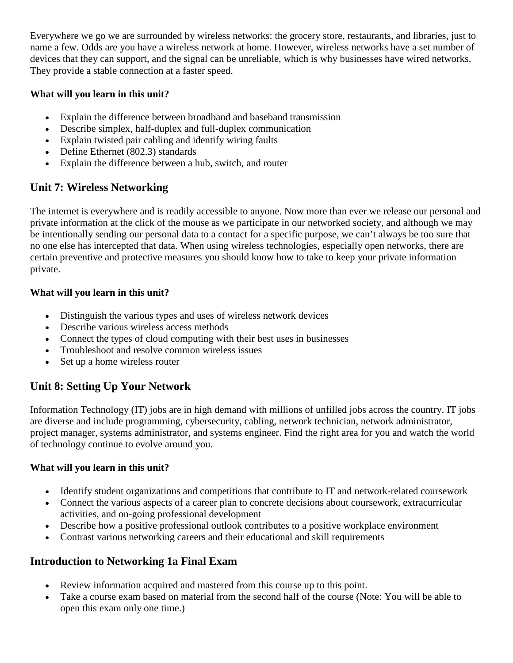Everywhere we go we are surrounded by wireless networks: the grocery store, restaurants, and libraries, just to name a few. Odds are you have a wireless network at home. However, wireless networks have a set number of devices that they can support, and the signal can be unreliable, which is why businesses have wired networks. They provide a stable connection at a faster speed.

#### **What will you learn in this unit?**

- Explain the difference between broadband and baseband transmission
- Describe simplex, half-duplex and full-duplex communication
- Explain twisted pair cabling and identify wiring faults
- Define Ethernet (802.3) standards
- Explain the difference between a hub, switch, and router

### **Unit 7: Wireless Networking**

The internet is everywhere and is readily accessible to anyone. Now more than ever we release our personal and private information at the click of the mouse as we participate in our networked society, and although we may be intentionally sending our personal data to a contact for a specific purpose, we can't always be too sure that no one else has intercepted that data. When using wireless technologies, especially open networks, there are certain preventive and protective measures you should know how to take to keep your private information private.

#### **What will you learn in this unit?**

- Distinguish the various types and uses of wireless network devices
- Describe various wireless access methods
- Connect the types of cloud computing with their best uses in businesses
- Troubleshoot and resolve common wireless issues
- Set up a home wireless router

# **Unit 8: Setting Up Your Network**

Information Technology (IT) jobs are in high demand with millions of unfilled jobs across the country. IT jobs are diverse and include programming, cybersecurity, cabling, network technician, network administrator, project manager, systems administrator, and systems engineer. Find the right area for you and watch the world of technology continue to evolve around you.

#### **What will you learn in this unit?**

- Identify student organizations and competitions that contribute to IT and network-related coursework
- Connect the various aspects of a career plan to concrete decisions about coursework, extracurricular activities, and on-going professional development
- Describe how a positive professional outlook contributes to a positive workplace environment
- Contrast various networking careers and their educational and skill requirements

# **Introduction to Networking 1a Final Exam**

- Review information acquired and mastered from this course up to this point.
- Take a course exam based on material from the second half of the course (Note: You will be able to open this exam only one time.)